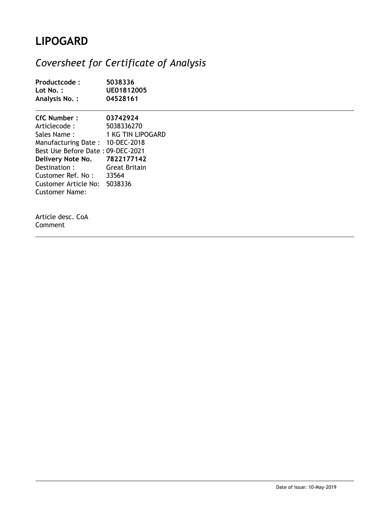## **LIPOGARD**

## *Coversheet for Certificate of Analysis*

| Productcode:<br>Lot No. :<br>Analysis No.:                                                                                                                                                                                                                | 5038336<br>UE01812005<br>04528161                            |
|-----------------------------------------------------------------------------------------------------------------------------------------------------------------------------------------------------------------------------------------------------------|--------------------------------------------------------------|
| CfC Number:<br>Articlecode :<br>Sales Name :<br>Manufacturing Date: 10-DEC-2018<br>Best Use Before Date: 09-DEC-2021<br>Delivery Note No. 7822177142<br>Destination :<br>Customer Ref. No: 33564<br>Customer Article No: 5038336<br><b>Customer Name:</b> | 03742924<br>5038336270<br>1 KG TIN LIPOGARD<br>Great Britain |
| Article desc. CoA<br>Comment                                                                                                                                                                                                                              |                                                              |